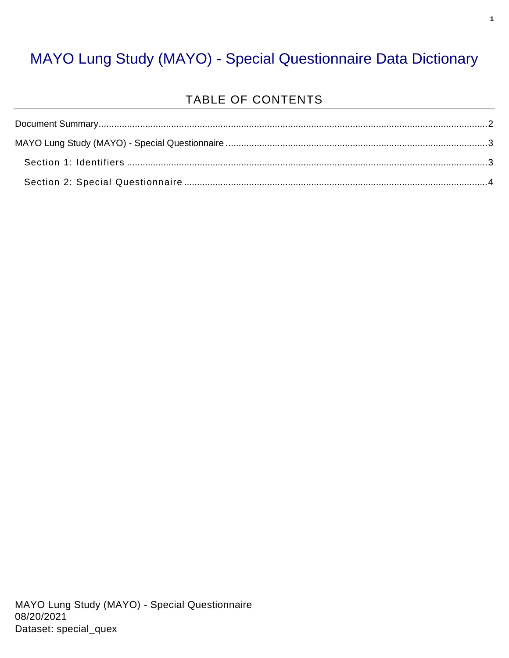#### MAYO Lung Study (MAYO) - Special Questionnaire Data Dictionary

#### TABLE OF CONTENTS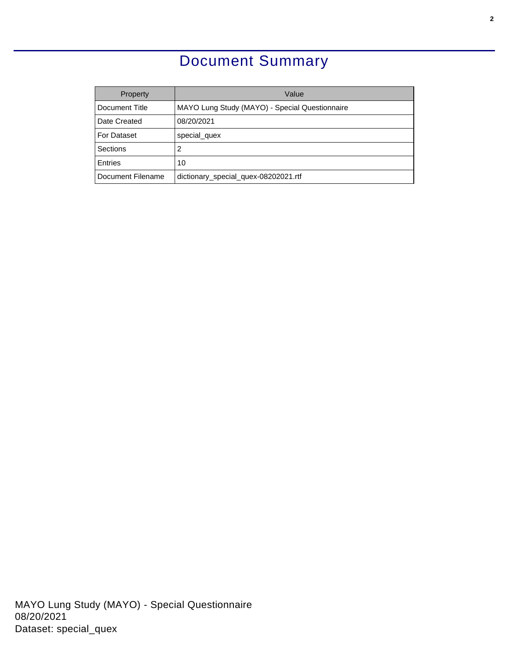### Document Summary

<span id="page-1-0"></span>

| Property          | Value                                          |
|-------------------|------------------------------------------------|
| Document Title    | MAYO Lung Study (MAYO) - Special Questionnaire |
| Date Created      | 08/20/2021                                     |
| For Dataset       | special_quex                                   |
| Sections          | 2                                              |
| Entries           | 10                                             |
| Document Filename | dictionary_special_quex-08202021.rtf           |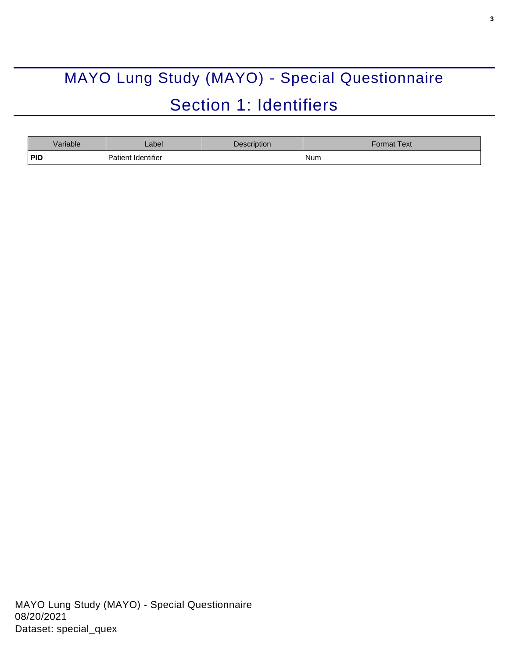# <span id="page-2-0"></span>MAYO Lung Study (MAYO) - Special Questionnaire Section 1: Identifiers

<span id="page-2-1"></span>

| Variable   | _abel                     | <b>Description</b> | Format Text <sup>-</sup> |
|------------|---------------------------|--------------------|--------------------------|
| <b>PID</b> | <b>Patient Identifier</b> |                    | Num                      |